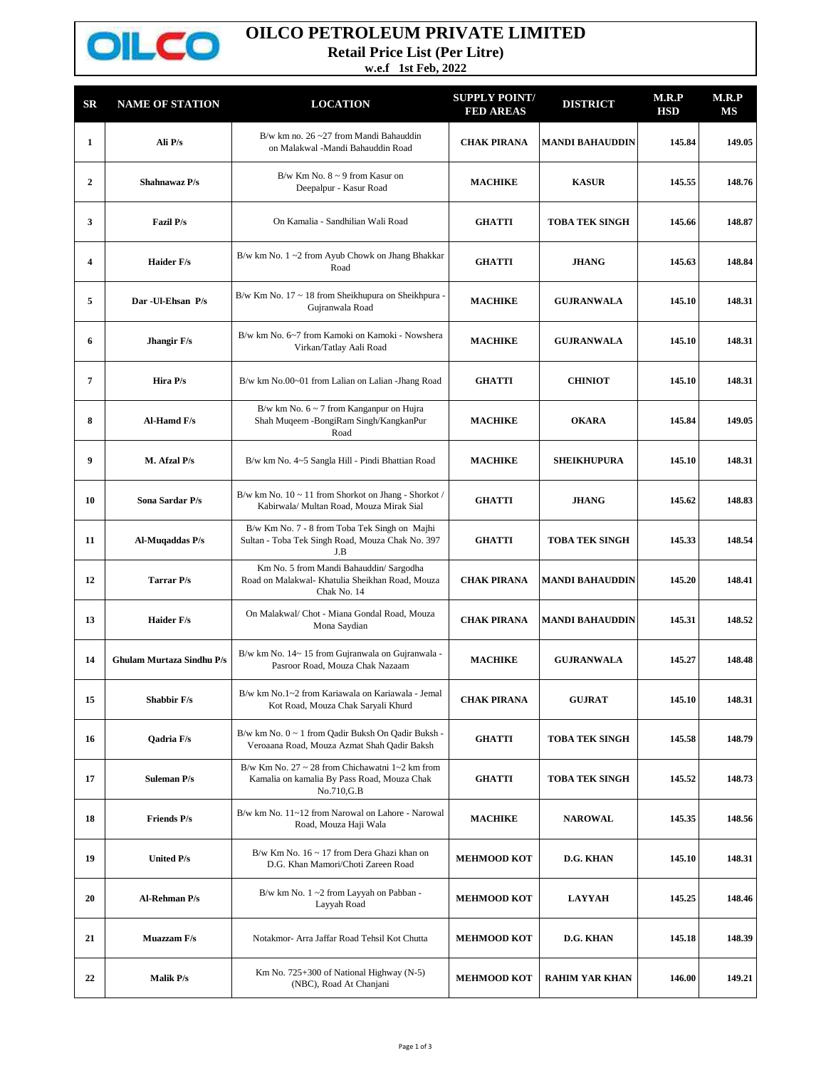

## **OILCO PETROLEUM PRIVATE LIMITED**

**Retail Price List (Per Litre)**

**w.e.f 1st Feb, 2022**

| $_{\rm SR}$  | <b>NAME OF STATION</b>           | <b>LOCATION</b>                                                                                                    | <b>SUPPLY POINT/</b><br><b>FED AREAS</b> | <b>DISTRICT</b>        | M.R.P<br><b>HSD</b> | M.R.P<br>МS |
|--------------|----------------------------------|--------------------------------------------------------------------------------------------------------------------|------------------------------------------|------------------------|---------------------|-------------|
| 1            | Ali P/s                          | B/w km no. $26 - 27$ from Mandi Bahauddin<br>on Malakwal -Mandi Bahauddin Road                                     | <b>CHAK PIRANA</b>                       | <b>MANDI BAHAUDDIN</b> | 145.84              | 149.05      |
| $\mathbf{2}$ | Shahnawaz P/s                    | B/w Km No. $8 \sim 9$ from Kasur on<br>Deepalpur - Kasur Road                                                      | <b>MACHIKE</b>                           | <b>KASUR</b>           | 145.55              | 148.76      |
| 3            | <b>Fazil P/s</b>                 | On Kamalia - Sandhilian Wali Road                                                                                  | <b>GHATTI</b>                            | <b>TOBA TEK SINGH</b>  | 145.66              | 148.87      |
| 4            | Haider F/s                       | B/w km No. 1~2 from Ayub Chowk on Jhang Bhakkar<br>Road                                                            | <b>GHATTI</b>                            | <b>JHANG</b>           | 145.63              | 148.84      |
| 5            | Dar - Ul-Ehsan P/s               | B/w Km No. 17 ~ 18 from Sheikhupura on Sheikhpura -<br>Gujranwala Road                                             | <b>MACHIKE</b>                           | <b>GUJRANWALA</b>      | 145.10              | 148.31      |
| 6            | Jhangir F/s                      | B/w km No. 6~7 from Kamoki on Kamoki - Nowshera<br>Virkan/Tatlay Aali Road                                         | <b>MACHIKE</b>                           | <b>GUJRANWALA</b>      | 145.10              | 148.31      |
| 7            | Hira P/s                         | B/w km No.00~01 from Lalian on Lalian -Jhang Road                                                                  | <b>GHATTI</b>                            | <b>CHINIOT</b>         | 145.10              | 148.31      |
| 8            | Al-Hamd F/s                      | B/w km No. $6 \sim 7$ from Kanganpur on Hujra<br>Shah Muqeem -BongiRam Singh/KangkanPur<br>Road                    | <b>MACHIKE</b>                           | <b>OKARA</b>           | 145.84              | 149.05      |
| 9            | M. Afzal P/s                     | B/w km No. 4~5 Sangla Hill - Pindi Bhattian Road                                                                   | <b>MACHIKE</b>                           | <b>SHEIKHUPURA</b>     | 145.10              | 148.31      |
| 10           | Sona Sardar P/s                  | B/w km No. $10 \sim 11$ from Shorkot on Jhang - Shorkot /<br>Kabirwala/ Multan Road, Mouza Mirak Sial              | <b>GHATTI</b>                            | <b>JHANG</b>           | 145.62              | 148.83      |
| 11           | Al-Muqaddas P/s                  | B/w Km No. 7 - 8 from Toba Tek Singh on Majhi<br>Sultan - Toba Tek Singh Road, Mouza Chak No. 397<br>J.B           | <b>GHATTI</b>                            | <b>TOBA TEK SINGH</b>  | 145.33              | 148.54      |
| 12           | <b>Tarrar P/s</b>                | Km No. 5 from Mandi Bahauddin/ Sargodha<br>Road on Malakwal- Khatulia Sheikhan Road, Mouza<br>Chak No. 14          | <b>CHAK PIRANA</b>                       | MANDI BAHAUDDIN        | 145.20              | 148.41      |
| 13           | <b>Haider F/s</b>                | On Malakwal/ Chot - Miana Gondal Road, Mouza<br>Mona Saydian                                                       | <b>CHAK PIRANA</b>                       | <b>MANDI BAHAUDDIN</b> | 145.31              | 148.52      |
| 14           | <b>Ghulam Murtaza Sindhu P/s</b> | B/w km No. 14~15 from Gujranwala on Gujranwala -<br>Pasroor Road, Mouza Chak Nazaam                                | <b>MACHIKE</b>                           | <b>GUJRANWALA</b>      | 145.27              | 148.48      |
| 15           | Shabbir F/s                      | B/w km No.1~2 from Kariawala on Kariawala - Jemal<br>Kot Road, Mouza Chak Saryali Khurd                            | <b>CHAK PIRANA</b>                       | <b>GUJRAT</b>          | 145.10              | 148.31      |
| 16           | Qadria F/s                       | B/w km No. 0 ~ 1 from Qadir Buksh On Qadir Buksh -<br>Veroaana Road, Mouza Azmat Shah Qadir Baksh                  | <b>GHATTI</b>                            | <b>TOBA TEK SINGH</b>  | 145.58              | 148.79      |
| 17           | <b>Suleman P/s</b>               | B/w Km No. $27 \sim 28$ from Chichawatni 1~2 km from<br>Kamalia on kamalia By Pass Road, Mouza Chak<br>No.710, G.B | <b>GHATTI</b>                            | <b>TOBA TEK SINGH</b>  | 145.52              | 148.73      |
| 18           | <b>Friends P/s</b>               | B/w km No. 11~12 from Narowal on Lahore - Narowal<br>Road, Mouza Haji Wala                                         | <b>MACHIKE</b>                           | <b>NAROWAL</b>         | 145.35              | 148.56      |
| 19           | <b>United P/s</b>                | B/w Km No. $16 \sim 17$ from Dera Ghazi khan on<br>D.G. Khan Mamori/Choti Zareen Road                              | <b>MEHMOOD KOT</b>                       | D.G. KHAN              | 145.10              | 148.31      |
| 20           | <b>Al-Rehman P/s</b>             | B/w km No. $1 \sim 2$ from Layyah on Pabban -<br>Layyah Road                                                       | <b>MEHMOOD KOT</b>                       | <b>LAYYAH</b>          | 145.25              | 148.46      |
| 21           | Muazzam F/s                      | Notakmor- Arra Jaffar Road Tehsil Kot Chutta                                                                       | <b>MEHMOOD KOT</b>                       | D.G. KHAN              | 145.18              | 148.39      |
| 22           | <b>Malik P/s</b>                 | Km No. 725+300 of National Highway (N-5)<br>(NBC), Road At Chanjani                                                | <b>MEHMOOD KOT</b>                       | <b>RAHIM YAR KHAN</b>  | 146.00              | 149.21      |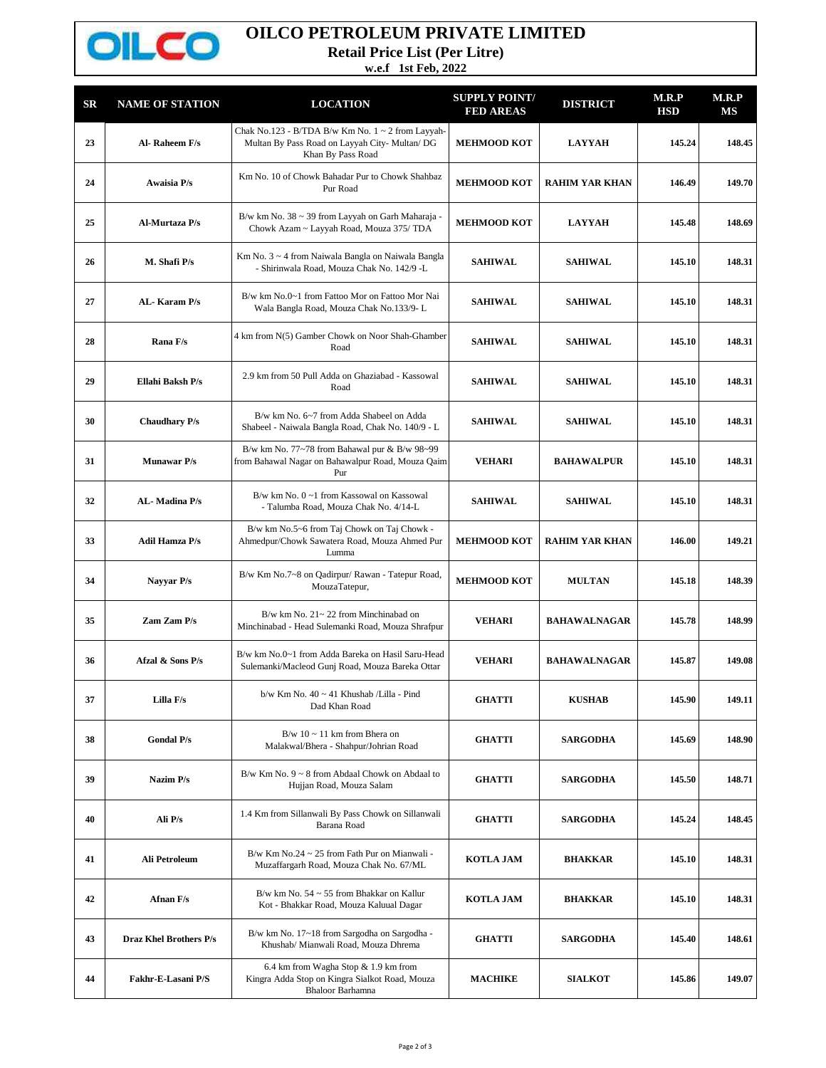

## **OILCO PETROLEUM PRIVATE LIMITED**

**Retail Price List (Per Litre)**

**w.e.f 1st Feb, 2022**

| <b>SR</b> | <b>NAME OF STATION</b>        | <b>LOCATION</b>                                                                                                               | <b>SUPPLY POINT/</b><br><b>FED AREAS</b> | <b>DISTRICT</b>       | M.R.P<br><b>HSD</b> | M.R.P<br>МS |
|-----------|-------------------------------|-------------------------------------------------------------------------------------------------------------------------------|------------------------------------------|-----------------------|---------------------|-------------|
| 23        | Al-Raheem F/s                 | Chak No.123 - B/TDA B/w Km No. $1 \sim 2$ from Layyah-<br>Multan By Pass Road on Layyah City- Multan/ DG<br>Khan By Pass Road | <b>MEHMOOD KOT</b>                       | <b>LAYYAH</b>         | 145.24              | 148.45      |
| 24        | Awaisia P/s                   | Km No. 10 of Chowk Bahadar Pur to Chowk Shahbaz<br>Pur Road                                                                   | <b>MEHMOOD KOT</b>                       | <b>RAHIM YAR KHAN</b> | 146.49              | 149.70      |
| 25        | Al-Murtaza P/s                | B/w km No. 38 ~ 39 from Layyah on Garh Maharaja -<br>Chowk Azam ~ Layyah Road, Mouza 375/ TDA                                 | <b>MEHMOOD KOT</b>                       | <b>LAYYAH</b>         | 145.48              | 148.69      |
| 26        | M. Shafi P/s                  | Km No. 3 ~ 4 from Naiwala Bangla on Naiwala Bangla<br>- Shirinwala Road, Mouza Chak No. 142/9 -L                              | <b>SAHIWAL</b>                           | <b>SAHIWAL</b>        | 145.10              | 148.31      |
| 27        | AL-Karam P/s                  | B/w km No.0~1 from Fattoo Mor on Fattoo Mor Nai<br>Wala Bangla Road, Mouza Chak No.133/9-L                                    | <b>SAHIWAL</b>                           | <b>SAHIWAL</b>        | 145.10              | 148.31      |
| 28        | Rana F/s                      | 4 km from N(5) Gamber Chowk on Noor Shah-Ghamber<br>Road                                                                      | <b>SAHIWAL</b>                           | <b>SAHIWAL</b>        | 145.10              | 148.31      |
| 29        | Ellahi Baksh P/s              | 2.9 km from 50 Pull Adda on Ghaziabad - Kassowal<br>Road                                                                      | <b>SAHIWAL</b>                           | <b>SAHIWAL</b>        | 145.10              | 148.31      |
| 30        | <b>Chaudhary P/s</b>          | B/w km No. 6~7 from Adda Shabeel on Adda<br>Shabeel - Naiwala Bangla Road, Chak No. 140/9 - L                                 | <b>SAHIWAL</b>                           | <b>SAHIWAL</b>        | 145.10              | 148.31      |
| 31        | <b>Munawar</b> P/s            | B/w km No. 77~78 from Bahawal pur & B/w 98~99<br>from Bahawal Nagar on Bahawalpur Road, Mouza Qaim<br>Pur                     | <b>VEHARI</b>                            | <b>BAHAWALPUR</b>     | 145.10              | 148.31      |
| 32        | AL-Madina P/s                 | B/w km No. 0~1 from Kassowal on Kassowal<br>- Talumba Road, Mouza Chak No. 4/14-L                                             | <b>SAHIWAL</b>                           | <b>SAHIWAL</b>        | 145.10              | 148.31      |
| 33        | Adil Hamza P/s                | B/w km No.5~6 from Taj Chowk on Taj Chowk -<br>Ahmedpur/Chowk Sawatera Road, Mouza Ahmed Pur<br>Lumma                         | <b>MEHMOOD KOT</b>                       | <b>RAHIM YAR KHAN</b> | 146.00              | 149.21      |
| 34        | Nayyar P/s                    | B/w Km No.7~8 on Qadirpur/ Rawan - Tatepur Road,<br>MouzaTatepur,                                                             | <b>MEHMOOD KOT</b>                       | <b>MULTAN</b>         | 145.18              | 148.39      |
| 35        | Zam Zam P/s                   | B/w km No. $21 - 22$ from Minchinabad on<br>Minchinabad - Head Sulemanki Road, Mouza Shrafpur                                 | <b>VEHARI</b>                            | <b>BAHAWALNAGAR</b>   | 145.78              | 148.99      |
| 36        | Afzal & Sons P/s              | B/w km No.0~1 from Adda Bareka on Hasil Saru-Head<br>Sulemanki/Macleod Gunj Road, Mouza Bareka Ottar                          | <b>VEHARI</b>                            | <b>BAHAWALNAGAR</b>   | 145.87              | 149.08      |
| 37        | Lilla F/s                     | b/w Km No. 40 ~ 41 Khushab /Lilla - Pind<br>Dad Khan Road                                                                     | <b>GHATTI</b>                            | <b>KUSHAB</b>         | 145.90              | 149.11      |
| 38        | <b>Gondal P/s</b>             | $B/w$ 10 ~ 11 km from Bhera on<br>Malakwal/Bhera - Shahpur/Johrian Road                                                       | <b>GHATTI</b>                            | <b>SARGODHA</b>       | 145.69              | 148.90      |
| 39        | Nazim P/s                     | $B/w$ Km No. $9 \sim 8$ from Abdaal Chowk on Abdaal to<br>Hujjan Road, Mouza Salam                                            | <b>GHATTI</b>                            | <b>SARGODHA</b>       | 145.50              | 148.71      |
| 40        | Ali P/s                       | 1.4 Km from Sillanwali By Pass Chowk on Sillanwali<br>Barana Road                                                             | <b>GHATTI</b>                            | <b>SARGODHA</b>       | 145.24              | 148.45      |
| 41        | Ali Petroleum                 | B/w Km No.24 $\sim$ 25 from Fath Pur on Mianwali -<br>Muzaffargarh Road, Mouza Chak No. 67/ML                                 | <b>KOTLA JAM</b>                         | <b>BHAKKAR</b>        | 145.10              | 148.31      |
| 42        | Afnan F/s                     | B/w km No. $54 \sim 55$ from Bhakkar on Kallur<br>Kot - Bhakkar Road, Mouza Kaluual Dagar                                     | <b>KOTLA JAM</b>                         | <b>BHAKKAR</b>        | 145.10              | 148.31      |
| 43        | <b>Draz Khel Brothers P/s</b> | B/w km No. 17~18 from Sargodha on Sargodha -<br>Khushab/ Mianwali Road, Mouza Dhrema                                          | <b>GHATTI</b>                            | <b>SARGODHA</b>       | 145.40              | 148.61      |
| 44        | Fakhr-E-Lasani P/S            | 6.4 km from Wagha Stop & 1.9 km from<br>Kingra Adda Stop on Kingra Sialkot Road, Mouza<br>Bhaloor Barhamna                    | <b>MACHIKE</b>                           | <b>SIALKOT</b>        | 145.86              | 149.07      |